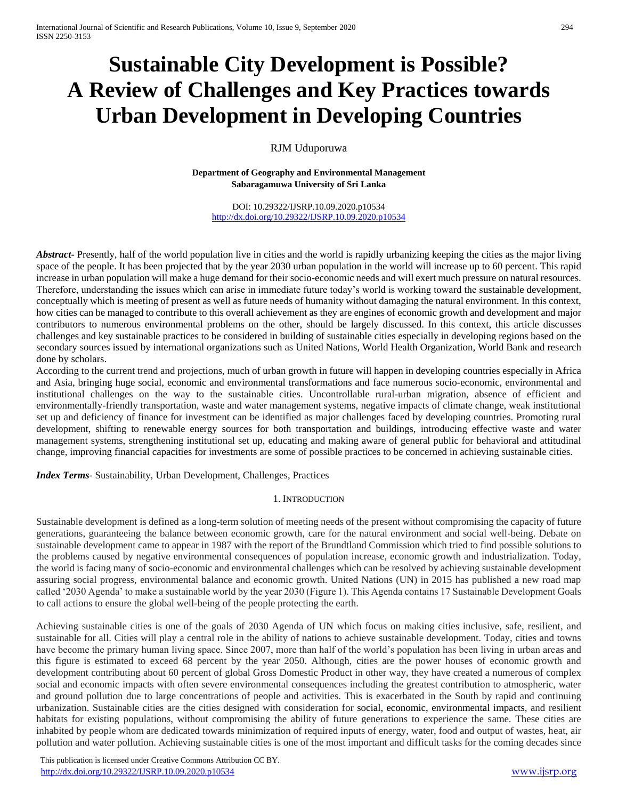# **Sustainable City Development is Possible? A Review of Challenges and Key Practices towards Urban Development in Developing Countries**

RJM Uduporuwa

**Department of Geography and Environmental Management Sabaragamuwa University of Sri Lanka**

DOI: 10.29322/IJSRP.10.09.2020.p10534 <http://dx.doi.org/10.29322/IJSRP.10.09.2020.p10534>

*Abstract***-** Presently, half of the world population live in cities and the world is rapidly urbanizing keeping the cities as the major living space of the people. It has been projected that by the year 2030 urban population in the world will increase up to 60 percent. This rapid increase in urban population will make a huge demand for their socio-economic needs and will exert much pressure on natural resources. Therefore, understanding the issues which can arise in immediate future today's world is working toward the sustainable development, conceptually which is meeting of present as well as future needs of humanity without damaging the natural environment. In this context, how cities can be managed to contribute to this overall achievement as they are engines of economic growth and development and major contributors to numerous environmental problems on the other, should be largely discussed. In this context, this article discusses challenges and key sustainable practices to be considered in building of sustainable cities especially in developing regions based on the secondary sources issued by international organizations such as United Nations, World Health Organization, World Bank and research done by scholars.

According to the current trend and projections, much of urban growth in future will happen in developing countries especially in Africa and Asia, bringing huge social, economic and environmental transformations and face numerous socio-economic, environmental and institutional challenges on the way to the sustainable cities. Uncontrollable rural-urban migration, absence of efficient and environmentally-friendly transportation, waste and water management systems, negative impacts of climate change, weak institutional set up and deficiency of finance for investment can be identified as major challenges faced by developing countries. Promoting rural development, shifting to renewable energy sources for both transportation and buildings, introducing effective waste and water management systems, strengthening institutional set up, educating and making aware of general public for behavioral and attitudinal change, improving financial capacities for investments are some of possible practices to be concerned in achieving sustainable cities.

*Index Terms*- Sustainability, Urban Development, Challenges, Practices

## 1. INTRODUCTION

Sustainable development is defined as a long-term solution of meeting needs of the present without compromising the capacity of future generations, guaranteeing the balance between economic growth, care for the natural environment and social well-being. Debate on sustainable development came to appear in 1987 with the report of the Brundtland Commission which tried to find possible solutions to the problems caused by negative environmental consequences of population increase, economic growth and industrialization. Today, the world is facing many of socio-economic and environmental challenges which can be resolved by achieving sustainable development assuring social progress, environmental balance and economic growth. United Nations (UN) in 2015 has published a new road map called '2030 Agenda' to make a sustainable world by the year 2030 (Figure 1). This Agenda contains 17 Sustainable Development Goals to call actions to ensure the global well-being of the people protecting the earth.

Achieving sustainable cities is one of the goals of 2030 Agenda of UN which focus on making cities inclusive, safe, resilient, and sustainable for all. Cities will play a central role in the ability of nations to achieve sustainable development. Today, cities and towns have become the primary human living space. Since 2007, more than half of the world's population has been living in urban areas and this figure is estimated to exceed 68 percent by the year 2050. Although, cities are the power houses of economic growth and development contributing about 60 percent of global Gross Domestic Product in other way, they have created a numerous of complex social and economic impacts with often severe environmental consequences including the greatest contribution to atmospheric, water and ground pollution due to large concentrations of people and activities. This is exacerbated in the South by rapid and continuing urbanization. Sustainable cities are the cities designed with consideration for [social, economic, environmental impacts](https://en.wikipedia.org/wiki/Sustainability), and resilient habitats for existing populations, without compromising the ability of future generations to experience the same. These cities are inhabited by people whom are dedicated towards minimization of required inputs of energy, water, food and output of wastes, heat, air pollution and water pollution. Achieving sustainable cities is one of the most important and difficult tasks for the coming decades since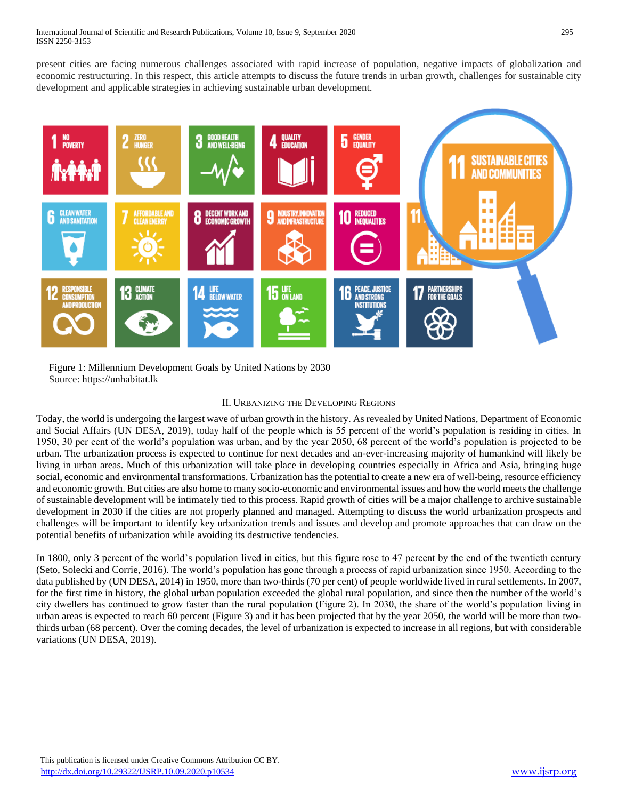present cities are facing numerous challenges associated with rapid increase of population, negative impacts of globalization and economic restructuring. In this respect, this article attempts to discuss the future trends in urban growth, challenges for sustainable city development and applicable strategies in achieving sustainable urban development.



 Figure 1: Millennium Development Goals by United Nations by 2030 Source: [https://unhabitat.lk](https://unhabitat.lk/)

# II. URBANIZING THE DEVELOPING REGIONS

Today, the world is undergoing the largest wave of urban growth in the history. As revealed by United Nations, Department of Economic and Social Affairs (UN DESA, 2019), today half of the people which is 55 percent of the world's population is residing in cities. In 1950, 30 per cent of the world's population was urban, and by the year 2050, 68 percent of the world's population is projected to be urban. The urbanization process is expected to continue for next decades and an-ever-increasing majority of humankind will likely be living in urban areas. Much of this urbanization will take place in developing countries especially in Africa and Asia, bringing huge social, economic and environmental transformations. Urbanization has the potential to create a new era of well-being, resource efficiency and economic growth. But cities are also home to many socio-economic and environmental issues and how the world meets the challenge of sustainable development will be intimately tied to this process. Rapid growth of cities will be a major challenge to archive sustainable development in 2030 if the cities are not properly planned and managed. Attempting to discuss the world urbanization prospects and challenges will be important to identify key urbanization trends and issues and develop and promote approaches that can draw on the potential benefits of urbanization while avoiding its destructive tendencies.

In 1800, only 3 percent of the world's population lived in cities, but this figure rose to 47 percent by the end of the twentieth century (Seto, Solecki and Corrie, 2016). The world's population has gone through a process of rapid urbanization since 1950. According to the data published by (UN DESA, 2014) in 1950, more than two-thirds (70 per cent) of people worldwide lived in rural settlements. In 2007, for the first time in history, the global urban population exceeded the global rural population, and since then the number of the world's city dwellers has continued to grow faster than the rural population (Figure 2). In 2030, the share of the world's population living in urban areas is expected to reach 60 percent (Figure 3) and it has been projected that by the year 2050, the world will be more than twothirds urban (68 percent). Over the coming decades, the level of urbanization is expected to increase in all regions, but with considerable variations (UN DESA, 2019).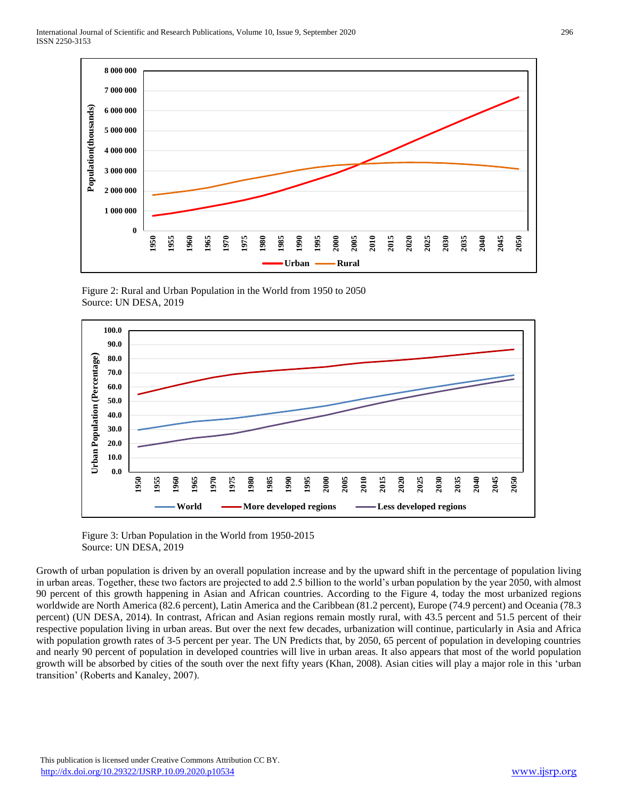

 Figure 2: Rural and Urban Population in the World from 1950 to 2050 Source: UN DESA, 2019



 Figure 3: Urban Population in the World from 1950-2015 Source: UN DESA, 2019

Growth of urban population is driven by an overall population increase and by the upward shift in the percentage of population living in urban areas. Together, these two factors are projected to add 2.5 billion to the world's urban population by the year 2050, with almost 90 percent of this growth happening in Asian and African countries. According to the Figure 4, today the most urbanized regions worldwide are North America (82.6 percent), Latin America and the Caribbean (81.2 percent), Europe (74.9 percent) and Oceania (78.3 percent) (UN DESA, 2014). In contrast, African and Asian regions remain mostly rural, with 43.5 percent and 51.5 percent of their respective population living in urban areas. But over the next few decades, urbanization will continue, particularly in Asia and Africa with population growth rates of 3-5 percent per year. The UN Predicts that, by 2050, 65 percent of population in developing countries and nearly 90 percent of population in developed countries will live in urban areas. It also appears that most of the world population growth will be absorbed by cities of the south over the next fifty years (Khan, 2008). Asian cities will play a major role in this 'urban transition' (Roberts and Kanaley, 2007).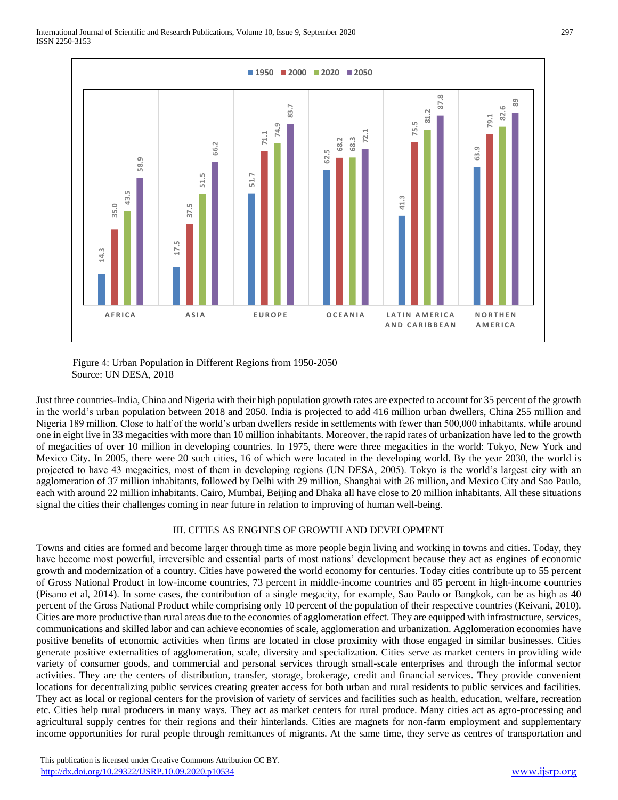

#### Figure 4: Urban Population in Different Regions from 1950-2050 Source: UN DESA, 2018

Just three countries-India, China and Nigeria with their high population growth rates are expected to account for 35 percent of the growth in the world's urban population between 2018 and 2050. India is projected to add 416 million urban dwellers, China 255 million and Nigeria 189 million. Close to half of the world's urban dwellers reside in settlements with fewer than 500,000 inhabitants, while around one in eight live in 33 megacities with more than 10 million inhabitants. Moreover, the rapid rates of urbanization have led to the growth of megacities of over 10 million in developing countries. In 1975, there were three megacities in the world: Tokyo, New York and Mexico City. In 2005, there were 20 such cities, 16 of which were located in the developing world. By the year 2030, the world is projected to have 43 megacities, most of them in developing regions (UN DESA, 2005). Tokyo is the world's largest city with an agglomeration of 37 million inhabitants, followed by Delhi with 29 million, Shanghai with 26 million, and Mexico City and Sao Paulo, each with around 22 million inhabitants. Cairo, Mumbai, Beijing and Dhaka all have close to 20 million inhabitants. All these situations signal the cities their challenges coming in near future in relation to improving of human well-being.

# III. CITIES AS ENGINES OF GROWTH AND DEVELOPMENT

Towns and cities are formed and become larger through time as more people begin living and working in towns and cities. Today, they have become most powerful, irreversible and essential parts of most nations' development because they act as engines of economic growth and modernization of a country. Cities have powered the world economy for centuries. Today cities contribute up to 55 percent of Gross National Product in low-income countries, 73 percent in middle-income countries and 85 percent in high-income countries (Pisano et al, 2014). In some cases, the contribution of a single megacity, for example, Sao Paulo or Bangkok, can be as high as 40 percent of the Gross National Product while comprising only 10 percent of the population of their respective countries (Keivani, 2010). Cities are more productive than rural areas due to the economies of agglomeration effect. They are equipped with infrastructure, services, communications and skilled labor and can achieve economies of scale, agglomeration and urbanization. Agglomeration economies have positive benefits of economic activities when firms are located in close proximity with those engaged in similar businesses. Cities generate positive externalities of agglomeration, scale, diversity and specialization. Cities serve as market centers in providing wide variety of consumer goods, and commercial and personal services through small-scale enterprises and through the informal sector activities. They are the centers of distribution, transfer, storage, brokerage, credit and financial services. They provide convenient locations for decentralizing public services creating greater access for both urban and rural residents to public services and facilities. They act as local or regional centers for the provision of variety of services and facilities such as health, education, welfare, recreation etc. Cities help rural producers in many ways. They act as market centers for rural produce. Many cities act as agro-processing and agricultural supply centres for their regions and their hinterlands. Cities are magnets for non-farm employment and supplementary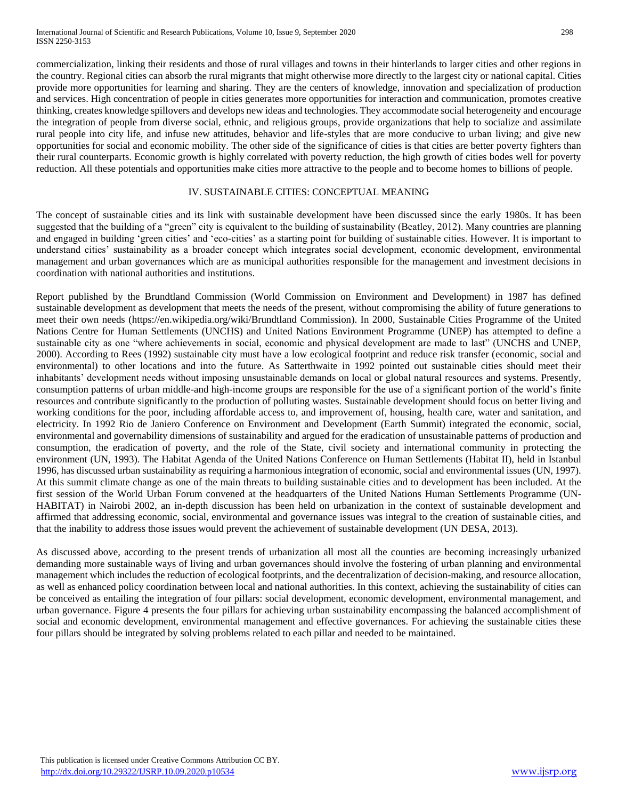commercialization, linking their residents and those of rural villages and towns in their hinterlands to larger cities and other regions in the country. Regional cities can absorb the rural migrants that might otherwise more directly to the largest city or national capital. Cities provide more opportunities for learning and sharing. They are the centers of knowledge, innovation and specialization of production and services. High concentration of people in cities generates more opportunities for interaction and communication, promotes creative thinking, creates knowledge spillovers and develops new ideas and technologies. They accommodate social heterogeneity and encourage the integration of people from diverse social, ethnic, and religious groups, provide organizations that help to socialize and assimilate rural people into city life, and infuse new attitudes, behavior and life-styles that are more conducive to urban living; and give new opportunities for social and economic mobility. The other side of the significance of cities is that cities are better poverty fighters than their rural counterparts. Economic growth is highly correlated with poverty reduction, the high growth of cities bodes well for poverty reduction. All these potentials and opportunities make cities more attractive to the people and to become homes to billions of people.

#### IV. SUSTAINABLE CITIES: CONCEPTUAL MEANING

The concept of sustainable cities and its link with sustainable development have been discussed since the early 1980s. It has been suggested that the building of a "green" city is equivalent to the building of sustainability (Beatley, 2012). Many countries are planning and engaged in building 'green cities' and 'eco-cities' as a starting point for building of sustainable cities. However. It is important to understand cities' sustainability as a broader concept which integrates social development, economic development, environmental management and urban governances which are as municipal authorities responsible for the management and investment decisions in coordination with national authorities and institutions.

Report published by the Brundtland Commission (World Commission on Environment and Development) in 1987 has defined sustainable development as development that meets the needs of the present, without compromising the ability of future generations to meet their own needs [\(https://en.wikipedia.org/wiki/Brundtland Commission\)](https://en.wikipedia.org/wiki/Brundtland%20Commission). In 2000, Sustainable Cities Programme of the United Nations Centre for Human Settlements (UNCHS) and United Nations Environment Programme (UNEP) has attempted to define a sustainable city as one "where achievements in social, economic and physical development are made to last" (UNCHS and UNEP, 2000). According to Rees (1992) sustainable city must have a low ecological footprint and reduce risk transfer (economic, social and environmental) to other locations and into the future. As Satterthwaite in 1992 pointed out sustainable cities should meet their inhabitants' development needs without imposing unsustainable demands on local or global natural resources and systems. Presently, consumption patterns of urban middle-and high-income groups are responsible for the use of a significant portion of the world's finite resources and contribute significantly to the production of polluting wastes. Sustainable development should focus on better living and working conditions for the poor, including affordable access to, and improvement of, housing, health care, water and sanitation, and electricity. In 1992 Rio de Janiero Conference on Environment and Development (Earth Summit) integrated the economic, social, environmental and governability dimensions of sustainability and argued for the eradication of unsustainable patterns of production and consumption, the eradication of poverty, and the role of the State, civil society and international community in protecting the environment (UN, 1993). The Habitat Agenda of the United Nations Conference on Human Settlements (Habitat II), held in Istanbul 1996, has discussed urban sustainability as requiring a harmonious integration of economic, social and environmental issues (UN, 1997). At this summit climate change as one of the main threats to building sustainable cities and to development has been included. At the first session of the World Urban Forum convened at the headquarters of the United Nations Human Settlements Programme (UN-HABITAT) in Nairobi 2002, an in-depth discussion has been held on urbanization in the context of sustainable development and affirmed that addressing economic, social, environmental and governance issues was integral to the creation of sustainable cities, and that the inability to address those issues would prevent the achievement of sustainable development (UN DESA, 2013).

As discussed above, according to the present trends of urbanization all most all the counties are becoming increasingly urbanized demanding more sustainable ways of living and urban governances should involve the fostering of urban planning and environmental management which includes the reduction of ecological footprints, and the decentralization of decision-making, and resource allocation, as well as enhanced policy coordination between local and national authorities. In this context, achieving the sustainability of cities can be conceived as entailing the integration of four pillars: social development, economic development, environmental management, and urban governance. Figure 4 presents the four pillars for achieving urban sustainability encompassing the balanced accomplishment of social and economic development, environmental management and effective governances. For achieving the sustainable cities these four pillars should be integrated by solving problems related to each pillar and needed to be maintained.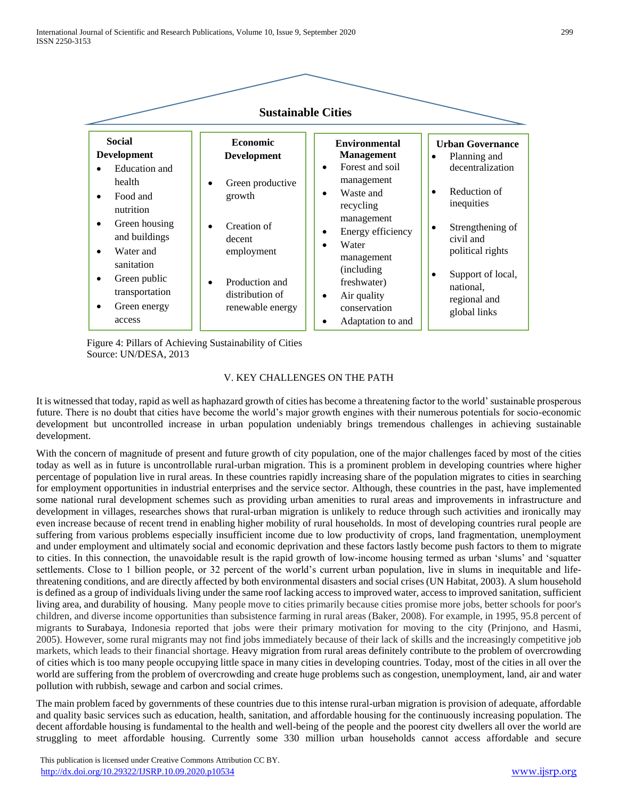

 Figure 4: Pillars of Achieving Sustainability of Cities Source: UN/DESA, 2013

#### V. KEY CHALLENGES ON THE PATH

It is witnessed that today, rapid as well as haphazard growth of cities has become a threatening factor to the world' sustainable prosperous future. There is no doubt that cities have become the world's major growth engines with their numerous potentials for socio-economic development but uncontrolled increase in urban population undeniably brings tremendous challenges in achieving sustainable development.

With the concern of magnitude of present and future growth of city population, one of the major challenges faced by most of the cities today as well as in future is uncontrollable rural-urban migration. This is a prominent problem in developing countries where higher percentage of population live in rural areas. In these countries rapidly increasing share of the population migrates to cities in searching for employment opportunities in industrial enterprises and the service sector. Although, these countries in the past, have implemented some national rural development schemes such as providing urban amenities to rural areas and improvements in infrastructure and development in villages, researches shows that rural-urban migration is unlikely to reduce through such activities and ironically may even increase because of recent trend in enabling higher mobility of rural households. In most of developing countries rural people are suffering from various problems especially insufficient income due to low productivity of crops, land fragmentation, unemployment and under employment and ultimately social and economic deprivation and these factors lastly become push factors to them to migrate to cities. In this connection, the unavoidable result is the rapid growth of low-income housing termed as urban 'slums' and 'squatter settlements. Close to 1 billion people, or 32 percent of the world's current urban population, live in slums in inequitable and lifethreatening conditions, and are directly affected by both environmental disasters and social crises (UN Habitat, 2003). A slum household is defined as a group of individuals living under the same roof lacking access to improved water, access to improved sanitation, sufficient living area, and durability of housing. Many people move to cities primarily because cities promise more jobs, better schools for poor's children, and diverse income opportunities than subsistence farming in rural areas (Baker, 2008). For example, in 1995, 95.8 percent of migrants to [Surabaya,](https://en.wikipedia.org/wiki/Surabaya) Indonesia reported that jobs were their primary motivation for moving to the city (Prinjono, and Hasmi, 2005). However, some rural migrants may not find jobs immediately because of their lack of skills and the increasingly competitive job markets, which leads to their financial shortage. Heavy migration from rural areas definitely contribute to the problem of overcrowding of cities which is too many people occupying little space in many cities in developing countries. Today, most of the cities in all over the world are suffering from the problem of overcrowding and create huge problems such as congestion, unemployment, land, air and water pollution with rubbish, sewage and carbon and social crimes.

The main problem faced by governments of these countries due to this intense rural-urban migration is provision of adequate, affordable and quality basic services such as education, health, sanitation, and affordable housing for the continuously increasing population. The decent affordable housing is fundamental to the health and well-being of the people and the poorest city dwellers all over the world are struggling to meet affordable housing. Currently some 330 million urban households cannot access affordable and secure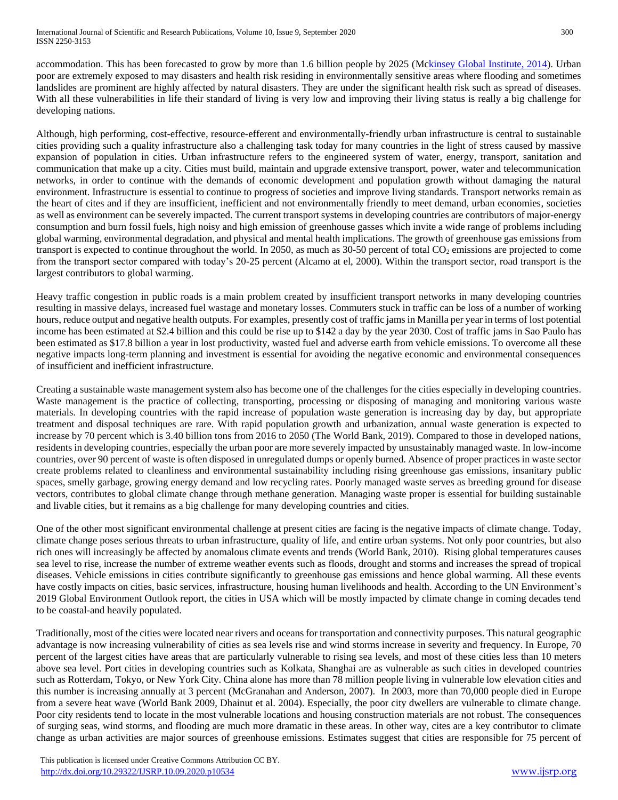accommodation. This has been forecasted to grow by more than 1.6 billion people by 2025 (Mckinsey Global Institute, 2014). Urban poor are extremely exposed to may disasters and health risk residing in environmentally sensitive areas where flooding and sometimes landslides are prominent are highly affected by natural disasters. They are under the significant health risk such as spread of diseases. With all these vulnerabilities in life their standard of living is very low and improving their living status is really a big challenge for developing nations.

Although, high performing, cost-effective, resource-efferent and environmentally-friendly urban infrastructure is central to sustainable cities providing such a quality infrastructure also a challenging task today for many countries in the light of stress caused by massive expansion of population in cities. Urban infrastructure refers to the engineered system of water, energy, transport, sanitation and communication that make up a city. Cities must build, maintain and upgrade extensive transport, power, water and telecommunication networks, in order to continue with the demands of economic development and population growth without damaging the natural environment. Infrastructure is essential to continue to progress of societies and improve living standards. Transport networks remain as the heart of cites and if they are insufficient, inefficient and not environmentally friendly to meet demand, urban economies, societies as well as environment can be severely impacted. The current transport systems in developing countries are contributors of major-energy consumption and burn fossil fuels, high noisy and high emission of greenhouse gasses which invite a wide range of problems including global warming, environmental degradation, and physical and mental health implications. The growth of greenhouse gas emissions from transport is expected to continue throughout the world. In 2050, as much as 30-50 percent of total CO<sub>2</sub> emissions are projected to come from the transport sector compared with today's 20-25 percent (Alcamo at el, 2000). Within the transport sector, road transport is the largest contributors to global warming.

Heavy traffic congestion in public roads is a main problem created by insufficient transport networks in many developing countries resulting in massive delays, increased fuel wastage and monetary losses. Commuters stuck in traffic can be loss of a number of working hours, reduce output and negative health outputs. For examples, presently cost of traffic jams in Manilla per year in terms of lost potential income has been estimated at \$2.4 billion and this could be rise up to \$142 a day by the year 2030. Cost of traffic jams in Sao Paulo has been estimated as \$17.8 billion a year in lost productivity, wasted fuel and adverse earth from vehicle emissions. To overcome all these negative impacts long-term planning and investment is essential for avoiding the negative economic and environmental consequences of insufficient and inefficient infrastructure.

Creating a sustainable waste management system also has become one of the challenges for the cities especially in developing countries. Waste management is the practice of collecting, transporting, processing or disposing of managing and monitoring various waste materials. In developing countries with the rapid increase of population waste generation is increasing day by day, but appropriate treatment and disposal techniques are rare. With rapid population growth and urbanization, annual waste generation is expected to increase by 70 percent which is 3.40 billion tons from 2016 to 2050 (The World Bank, 2019). Compared to those in developed nations, residents in developing countries, especially the urban poor are more severely impacted by unsustainably managed waste. In low-income countries, over 90 percent of waste is often disposed in unregulated dumps or openly burned. Absence of proper practices in waste sector create problems related to cleanliness and environmental sustainability including rising greenhouse gas emissions, insanitary public spaces, smelly garbage, growing energy demand and low recycling rates. Poorly managed waste serves as breeding ground for disease vectors, contributes to global climate change through methane generation. Managing waste proper is essential for building sustainable and livable cities, but it remains as a big challenge for many developing countries and cities.

One of the other most significant environmental challenge at present cities are facing is the negative impacts of climate change. Today, climate change poses serious threats to urban infrastructure, quality of life, and entire urban systems. Not only poor countries, but also rich ones will increasingly be affected by anomalous climate events and trends (World Bank, 2010). Rising global temperatures causes sea level to rise, increase the number of extreme weather events such as floods, drought and storms and increases the spread of tropical diseases. Vehicle emissions in cities contribute significantly to greenhouse gas emissions and hence global warming. All these events have costly impacts on cities, basic services, infrastructure, housing human livelihoods and health. According to the UN Environment's 2019 Global Environment Outlook report, the cities in USA which will be mostly impacted by climate change in coming decades tend to be coastal-and heavily populated.

Traditionally, most of the cities were located near rivers and oceans for transportation and connectivity purposes. This natural geographic advantage is now increasing vulnerability of cities as sea levels rise and wind storms increase in severity and frequency. In Europe, 70 percent of the largest cities have areas that are particularly vulnerable to rising sea levels, and most of these cities less than 10 meters above sea level. Port cities in developing countries such as Kolkata, Shanghai are as vulnerable as such cities in developed countries such as Rotterdam, Tokyo, or New York City. China alone has more than 78 million people living in vulnerable low elevation cities and this number is increasing annually at 3 percent (McGranahan and Anderson, 2007). In 2003, more than 70,000 people died in Europe from a severe heat wave (World Bank 2009, Dhainut et al. 2004). Especially, the poor city dwellers are vulnerable to climate change. Poor city residents tend to locate in the most vulnerable locations and housing construction materials are not robust. The consequences of surging seas, wind storms, and flooding are much more dramatic in these areas. In other way, cites are a key contributor to climate change as urban activities are major sources of greenhouse emissions. Estimates suggest that cities are responsible for 75 percent of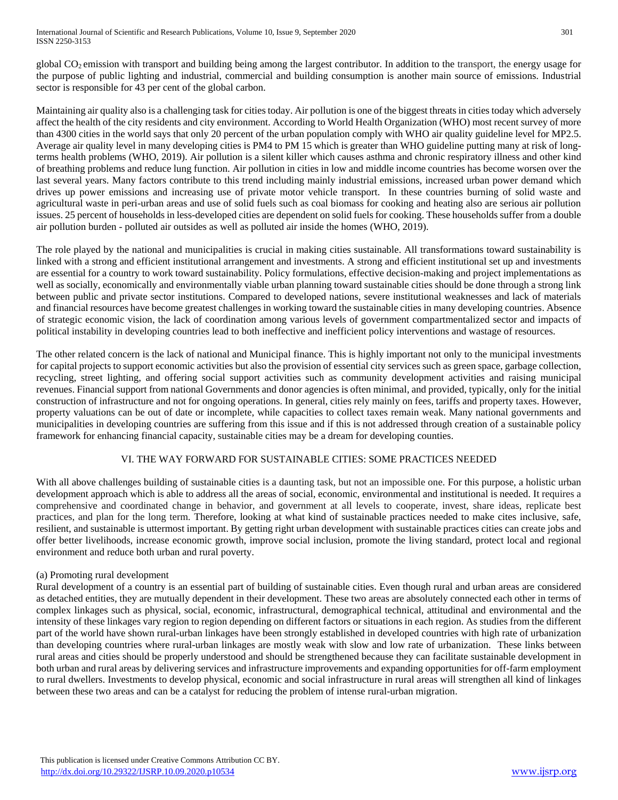global  $CO<sub>2</sub>$  emission with transport and building being among the largest contributor. In addition to the transport, the energy usage for the purpose of public lighting and industrial, commercial and building consumption is another main source of emissions. Industrial sector is responsible for 43 per cent of the global carbon.

Maintaining air quality also is a challenging task for cities today. Air pollution is one of the biggest threats in cities today which adversely affect the health of the city residents and city environment. According to World Health Organization (WHO) most recent survey of more than 4300 cities in the world says that only 20 percent of the urban population comply with WHO air quality guideline level for MP2.5. Average air quality level in many developing cities is PM4 to PM 15 which is greater than WHO guideline putting many at risk of longterms health problems (WHO, 2019). Air pollution is a silent killer which causes asthma and chronic respiratory illness and other kind of breathing problems and reduce lung function. Air pollution in cities in low and middle income countries has become worsen over the last several years. Many factors contribute to this trend including mainly industrial emissions, increased urban power demand which drives up power emissions and increasing use of private motor vehicle transport. In these countries burning of solid waste and agricultural waste in peri-urban areas and use of solid fuels such as coal biomass for cooking and heating also are serious air pollution issues. 25 percent of households in less-developed cities are dependent on solid fuels for cooking. These households suffer from a double air pollution burden - polluted air outsides as well as polluted air inside the homes (WHO, 2019).

The role played by the national and municipalities is crucial in making cities sustainable. All transformations toward sustainability is linked with a strong and efficient institutional arrangement and investments. A strong and efficient institutional set up and investments are essential for a country to work toward sustainability. Policy formulations, effective decision-making and project implementations as well as socially, economically and environmentally viable urban planning toward sustainable cities should be done through a strong link between public and private sector institutions. Compared to developed nations, severe institutional weaknesses and lack of materials and financial resources have become greatest challenges in working toward the sustainable cities in many developing countries. Absence of strategic economic vision, the lack of coordination among various levels of government compartmentalized sector and impacts of political instability in developing countries lead to both ineffective and inefficient policy interventions and wastage of resources.

The other related concern is the lack of national and Municipal finance. This is highly important not only to the municipal investments for capital projects to support economic activities but also the provision of essential city services such as green space, garbage collection, recycling, street lighting, and offering social support activities such as community development activities and raising municipal revenues. Financial support from national Governments and donor agencies is often minimal, and provided, typically, only for the initial construction of infrastructure and not for ongoing operations. In general, cities rely mainly on fees, tariffs and property taxes. However, property valuations can be out of date or incomplete, while capacities to collect taxes remain weak. Many national governments and municipalities in developing countries are suffering from this issue and if this is not addressed through creation of a sustainable policy framework for enhancing financial capacity, sustainable cities may be a dream for developing counties.

# VI. THE WAY FORWARD FOR SUSTAINABLE CITIES: SOME PRACTICES NEEDED

With all above challenges building of sustainable cities is a daunting task, but not an impossible one. For this purpose, a holistic urban development approach which is able to address all the areas of social, economic, environmental and institutional is needed. It requires a comprehensive and coordinated change in behavior, and government at all levels to cooperate, invest, share ideas, replicate best practices, and plan for the long term. Therefore, looking at what kind of sustainable practices needed to make cites inclusive, safe, resilient, and sustainable is uttermost important. By getting right urban development with sustainable practices cities can create jobs and offer better livelihoods, increase economic growth, improve social inclusion, promote the living standard, protect local and regional environment and reduce both urban and rural poverty.

## (a) Promoting rural development

Rural development of a country is an essential part of building of sustainable cities. Even though rural and urban areas are considered as detached entities, they are mutually dependent in their development. These two areas are absolutely connected each other in terms of complex linkages such as physical, social, economic, infrastructural, demographical technical, attitudinal and environmental and the intensity of these linkages vary region to region depending on different factors or situations in each region. As studies from the different part of the world have shown rural-urban linkages have been strongly established in developed countries with high rate of urbanization than developing countries where rural-urban linkages are mostly weak with slow and low rate of urbanization. These links between rural areas and cities should be properly understood and should be strengthened because they can facilitate sustainable development in both urban and rural areas by delivering services and infrastructure improvements and expanding opportunities for off-farm employment to rural dwellers. Investments to develop physical, economic and social infrastructure in rural areas will strengthen all kind of linkages between these two areas and can be a catalyst for reducing the problem of intense rural-urban migration.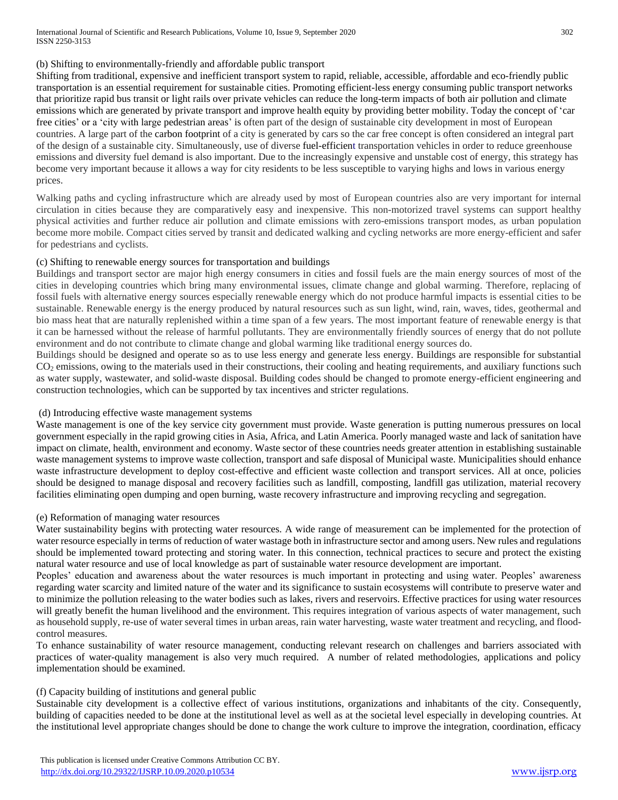#### (b) Shifting to environmentally-friendly and affordable public transport

Shifting from traditional, expensive and inefficient transport system to rapid, reliable, accessible, affordable and eco-friendly public transportation is an essential requirement for sustainable cities. Promoting efficient-less energy consuming public transport networks that prioritize rapid bus transit or light rails over private vehicles can reduce the long-term impacts of both air pollution and climate emissions which are generated by private transport and improve health equity by providing better mobility. Today the concept of ['car](https://en.wikipedia.org/wiki/Carfree_city)  [free cities'](https://en.wikipedia.org/wiki/Carfree_city) or a 'city with large [pedestrian areas'](https://en.wikipedia.org/wiki/Pedestrian_area) is often part of the design of sustainable city development in most of European countries. A large part of the [carbon footprint](https://en.wikipedia.org/wiki/Carbon_footprint) of a city is generated by cars so the car free concept is often considered an integral part of the design of a sustainable city. Simultaneously, use of diverse [fuel-efficient](https://en.wikipedia.org/wiki/Fuel-efficient) transportation vehicles in order to reduce greenhouse emissions and diversity fuel demand is also important. Due to the increasingly expensive and unstable cost of energy, this strategy has become very important because it allows a way for city residents to be less susceptible to varying highs and lows in various energy prices.

Walking paths and cycling infrastructure which are already used by most of European countries also are very important for internal circulation in cities because they are comparatively easy and inexpensive. This non-motorized travel systems can support healthy physical activities and further reduce air pollution and climate emissions with zero-emissions transport modes, as urban population become more mobile. Compact cities served by transit and dedicated walking and cycling networks are more energy-efficient and safer for pedestrians and cyclists.

## (c) Shifting to renewable energy sources for transportation and buildings

Buildings and transport sector are major high energy consumers in cities and fossil fuels are the main energy sources of most of the cities in developing countries which bring many environmental issues, climate change and global warming. Therefore, replacing of fossil fuels with alternative energy sources especially renewable energy which do not produce harmful impacts is essential cities to be sustainable. Renewable energy is the energy produced by natural resources such as sun light, wind, rain, waves, tides, geothermal and bio mass heat that are naturally replenished within a time span of a few years. The most important feature of renewable energy is that it can be harnessed without the release of harmful pollutants. They are environmentally friendly sources of energy that do not pollute environment and do not contribute to climate change and global warming like traditional energy sources do.

Buildings should be designed and operate so as to use less energy and generate less energy. Buildings are responsible for substantial CO<sub>2</sub> emissions, owing to the materials used in their constructions, their cooling and heating requirements, and auxiliary functions such as water supply, wastewater, and solid-waste disposal. Building codes should be changed to promote energy-efficient engineering and construction technologies, which can be supported by tax incentives and stricter regulations.

## (d) Introducing effective waste management systems

Waste management is one of the key service city government must provide. Waste generation is putting numerous pressures on local government especially in the rapid growing cities in Asia, Africa, and Latin America. Poorly managed waste and lack of sanitation have impact on climate, health, environment and economy. Waste sector of these countries needs greater attention in establishing sustainable waste management systems to improve waste collection, transport and safe disposal of Municipal waste. Municipalities should enhance waste infrastructure development to deploy cost-effective and efficient waste collection and transport services. All at once, policies should be designed to manage disposal and recovery facilities such as landfill, composting, landfill gas utilization, material recovery facilities eliminating open dumping and open burning, waste recovery infrastructure and improving recycling and segregation.

#### (e) Reformation of managing water resources

Water sustainability begins with protecting water resources. A wide range of measurement can be implemented for the protection of water resource especially in terms of reduction of water wastage both in infrastructure sector and among users. New rules and regulations should be implemented toward protecting and storing water. In this connection, technical practices to secure and protect the existing natural water resource and use of local knowledge as part of sustainable water resource development are important.

Peoples' education and awareness about the water resources is much important in protecting and using water. Peoples' awareness regarding water scarcity and limited nature of the water and its significance to sustain ecosystems will contribute to preserve water and to minimize the pollution releasing to the water bodies such as lakes, rivers and reservoirs. Effective practices for using water resources will greatly benefit the human livelihood and the environment. This requires integration of various aspects of water management, such as household supply, re-use of water several times in urban areas, rain water harvesting, waste water treatment and recycling, and floodcontrol measures.

To enhance sustainability of water resource management, conducting relevant research on challenges and barriers associated with practices of water-quality management is also very much required. A number of related methodologies, applications and policy implementation should be examined.

## (f) Capacity building of institutions and general public

Sustainable city development is a collective effect of various institutions, organizations and inhabitants of the city. Consequently, building of capacities needed to be done at the institutional level as well as at the societal level especially in developing countries. At the institutional level appropriate changes should be done to change the work culture to improve the integration, coordination, efficacy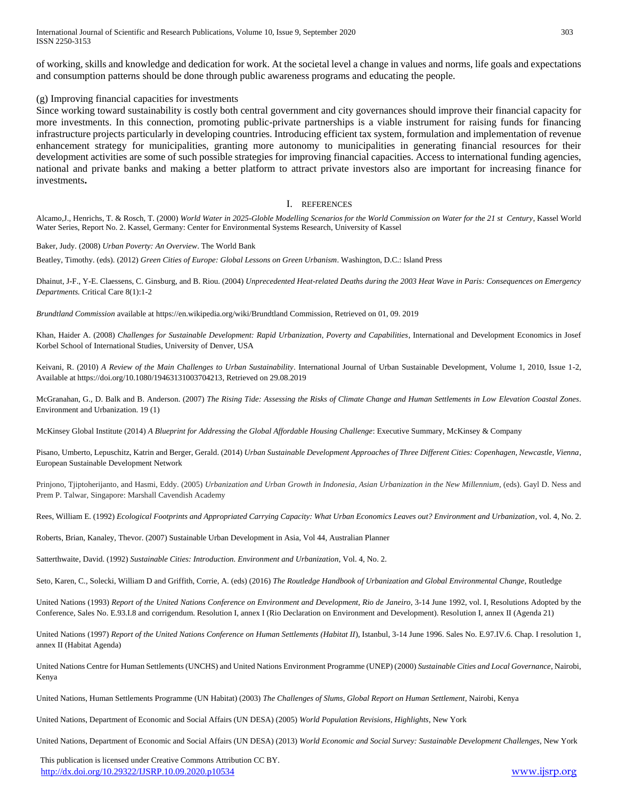of working, skills and knowledge and dedication for work. At the societal level a change in values and norms, life goals and expectations and consumption patterns should be done through public awareness programs and educating the people.

#### (g) Improving financial capacities for investments

Since working toward sustainability is costly both central government and city governances should improve their financial capacity for more investments. In this connection, promoting public-private partnerships is a viable instrument for raising funds for financing infrastructure projects particularly in developing countries. Introducing efficient tax system, formulation and implementation of revenue enhancement strategy for municipalities, granting more autonomy to municipalities in generating financial resources for their development activities are some of such possible strategies for improving financial capacities. Access to international funding agencies, national and private banks and making a better platform to attract private investors also are important for increasing finance for investments**.**

#### I. REFERENCES

Alcamo,J., Henrichs, T. & Rosch, T. (2000) *World Water in 2025-Globle Modelling Scenarios for the World Commission on Water for the 21 st Century*, Kassel World Water Series, Report No. 2. Kassel, Germany: Center for Environmental Systems Research, University of Kassel

Baker, Judy. (2008) *Urban Poverty: An Overview*. The World Bank

Beatley, Timothy. (eds). (2012) *Green Cities of Europe: Global Lessons on Green Urbanism*. Washington, D.C.: Island Press

Dhainut, J-F., Y-E. Claessens, C. Ginsburg, and B. Riou. (2004) *Unprecedented Heat-related Deaths during the 2003 Heat Wave in Paris: Consequences on Emergency Departments.* Critical Care 8(1):1-2

*Brundtland Commission* available a[t https://en.wikipedia.org/wiki/Brundtland Commission,](https://en.wikipedia.org/wiki/Brundtland%20Commission) Retrieved on 01, 09. 2019

Khan, Haider A. (2008) *Challenges for Sustainable Development: Rapid Urbanization, Poverty and Capabilities*, International and Development Economics in Josef Korbel School of International Studies, University of Denver, USA

Keivani, R. (2010) *A Review of the Main Challenges to Urban Sustainability*. International Journal of Urban Sustainable Development, Volume 1, 2010, Issue 1-2, Available at [https://doi.org/10.1080/19463131003704213,](https://doi.org/10.1080/19463131003704213) Retrieved on 29.08.2019

McGranahan, G., D. Balk and B. Anderson. (2007) *The Rising Tide: Assessing the Risks of Climate Change and Human Settlements in Low Elevation Coastal Zones*. Environment and Urbanization. 19 (1)

McKinsey Global Institute (2014) *A Blueprint for Addressing the Global Affordable Housing Challenge*: Executive Summary, McKinsey & Company

Pisano, Umberto, Lepuschitz, Katrin and Berger, Gerald. (2014) *Urban Sustainable Development Approaches of Three Different Cities: Copenhagen, Newcastle, Vienna*, European Sustainable Development Network

Prinjono, Tjiptoherijanto, and Hasmi, Eddy. (2005) *Urbanization and Urban Growth in Indonesia, Asian Urbanization in the New Millennium*, (eds). Gayl D. Ness and Prem P. Talwar, Singapore: Marshall Cavendish Academy

Rees, William E. (1992) *Ecological Footprints and Appropriated Carrying Capacity: What Urban Economics Leaves out? Environment and Urbanization, vol. 4, No. 2.* 

Roberts, Brian, Kanaley, Thevor. (2007) Sustainable Urban Development in Asia, Vol 44, Australian Planner

Satterthwaite, David. (1992) *Sustainable Cities: Introduction. Environment and Urbanization*, Vol. 4, No. 2.

Seto, Karen, C., Solecki, William D and Griffith, Corrie, A. (eds) (2016) *The Routledge Handbook of Urbanization and Global Environmental Change*, Routledge

United Nations (1993) *Report of the United Nations Conference on Environment and Development, Rio de Janeiro*, 3-14 June 1992, vol. I, Resolutions Adopted by the Conference, Sales No. E.93.I.8 and corrigendum. Resolution I, annex I (Rio Declaration on Environment and Development). Resolution I, annex II (Agenda 21)

United Nations (1997) Report of the United Nations Conference on Human Settlements (Habitat II), Istanbul, 3-14 June 1996. Sales No. E.97.IV.6. Chap. I resolution 1, annex II (Habitat Agenda)

United Nations Centre for Human Settlements (UNCHS) and United Nations Environment Programme (UNEP) (2000) *Sustainable Cities and Local Governance*, Nairobi, Kenya

United Nations, Human Settlements Programme (UN Habitat) (2003) *The Challenges of Slums, Global Report on Human Settlement*, Nairobi, Kenya

United Nations, Department of Economic and Social Affairs (UN DESA) (2005) *World Population Revisions, Highlights*, New York

United Nations, Department of Economic and Social Affairs (UN DESA) (2013) *World Economic and Social Survey: Sustainable Development Challenges*, New York

 This publication is licensed under Creative Commons Attribution CC BY. <http://dx.doi.org/10.29322/IJSRP.10.09.2020.p10534> [www.ijsrp.org](http://ijsrp.org/)